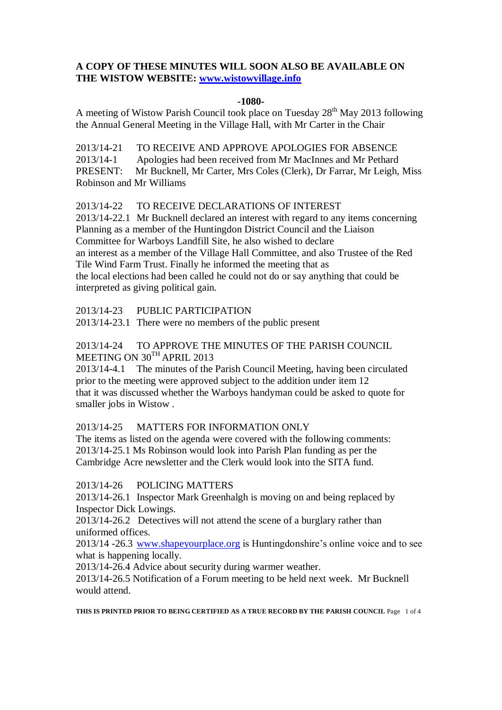### **A COPY OF THESE MINUTES WILL SOON ALSO BE AVAILABLE ON THE WISTOW WEBSITE: [www.wistowvillage.info](http://www.wistowvillage.info/)**

#### **-1080-**

A meeting of Wistow Parish Council took place on Tuesday  $28<sup>th</sup>$  May 2013 following the Annual General Meeting in the Village Hall, with Mr Carter in the Chair

2013/14-21 TO RECEIVE AND APPROVE APOLOGIES FOR ABSENCE 2013/14-1 Apologies had been received from Mr MacInnes and Mr Pethard PRESENT: Mr Bucknell, Mr Carter, Mrs Coles (Clerk), Dr Farrar, Mr Leigh, Miss Robinson and Mr Williams

2013/14-22 TO RECEIVE DECLARATIONS OF INTEREST

2013/14-22.1 Mr Bucknell declared an interest with regard to any items concerning Planning as a member of the Huntingdon District Council and the Liaison Committee for Warboys Landfill Site, he also wished to declare an interest as a member of the Village Hall Committee, and also Trustee of the Red Tile Wind Farm Trust. Finally he informed the meeting that as the local elections had been called he could not do or say anything that could be interpreted as giving political gain.

2013/14-23 PUBLIC PARTICIPATION

2013/14-23.1 There were no members of the public present

## 2013/14-24 TO APPROVE THE MINUTES OF THE PARISH COUNCIL MEETING ON 30TH APRIL 2013

2013/14-4.1 The minutes of the Parish Council Meeting, having been circulated prior to the meeting were approved subject to the addition under item 12 that it was discussed whether the Warboys handyman could be asked to quote for smaller jobs in Wistow .

### 2013/14-25 MATTERS FOR INFORMATION ONLY

The items as listed on the agenda were covered with the following comments: 2013/14-25.1 Ms Robinson would look into Parish Plan funding as per the Cambridge Acre newsletter and the Clerk would look into the SITA fund.

### 2013/14-26 POLICING MATTERS

2013/14-26.1 Inspector Mark Greenhalgh is moving on and being replaced by Inspector Dick Lowings.

2013/14-26.2 Detectives will not attend the scene of a burglary rather than uniformed offices.

2013/14 -26.3 [www.shapeyourplace.org](http://www.shapeyourplace.org/) is Huntingdonshire's online voice and to see what is happening locally.

2013/14-26.4 Advice about security during warmer weather.

2013/14-26.5 Notification of a Forum meeting to be held next week. Mr Bucknell would attend.

**THIS IS PRINTED PRIOR TO BEING CERTIFIED AS A TRUE RECORD BY THE PARISH COUNCIL** Page 1 of 4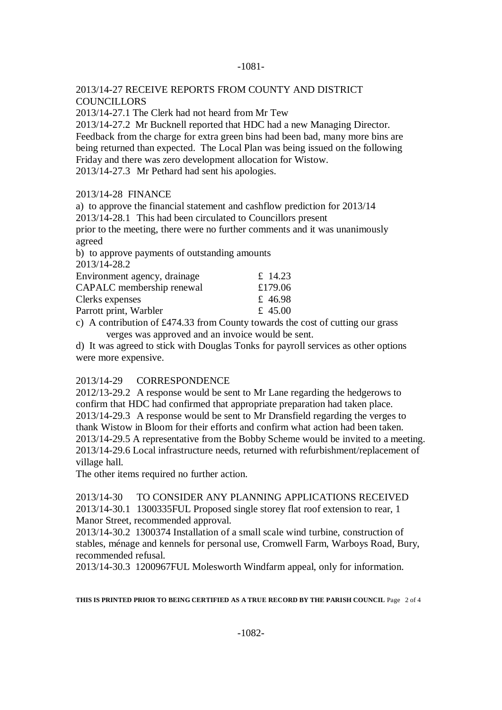### -1081-

### 2013/14-27 RECEIVE REPORTS FROM COUNTY AND DISTRICT **COUNCILLORS**

2013/14-27.1 The Clerk had not heard from Mr Tew

2013/14-27.2 Mr Bucknell reported that HDC had a new Managing Director. Feedback from the charge for extra green bins had been bad, many more bins are being returned than expected. The Local Plan was being issued on the following Friday and there was zero development allocation for Wistow. 2013/14-27.3 Mr Pethard had sent his apologies.

### 2013/14-28 FINANCE

a) to approve the financial statement and cashflow prediction for 2013/14

2013/14-28.1 This had been circulated to Councillors present

prior to the meeting, there were no further comments and it was unanimously agreed

b) to approve payments of outstanding amounts

2013/14-28.2

| Environment agency, drainage | £ 14.23 |
|------------------------------|---------|
| CAPALC membership renewal    | £179.06 |
| Clerks expenses              | £46.98  |
| Parrott print, Warbler       | £ 45.00 |

c) A contribution of  $\text{\pounds}474.33$  from County towards the cost of cutting our grass verges was approved and an invoice would be sent.

d) It was agreed to stick with Douglas Tonks for payroll services as other options were more expensive.

### 2013/14-29 CORRESPONDENCE

2012/13-29.2 A response would be sent to Mr Lane regarding the hedgerows to confirm that HDC had confirmed that appropriate preparation had taken place. 2013/14-29.3 A response would be sent to Mr Dransfield regarding the verges to thank Wistow in Bloom for their efforts and confirm what action had been taken. 2013/14-29.5 A representative from the Bobby Scheme would be invited to a meeting. 2013/14-29.6 Local infrastructure needs, returned with refurbishment/replacement of village hall.

The other items required no further action.

2013/14-30 TO CONSIDER ANY PLANNING APPLICATIONS RECEIVED 2013/14-30.1 1300335FUL Proposed single storey flat roof extension to rear, 1 Manor Street, recommended approval.

2013/14-30.2 1300374 Installation of a small scale wind turbine, construction of stables, ménage and kennels for personal use, Cromwell Farm, Warboys Road, Bury, recommended refusal.

2013/14-30.3 1200967FUL Molesworth Windfarm appeal, only for information.

**THIS IS PRINTED PRIOR TO BEING CERTIFIED AS A TRUE RECORD BY THE PARISH COUNCIL** Page 2 of 4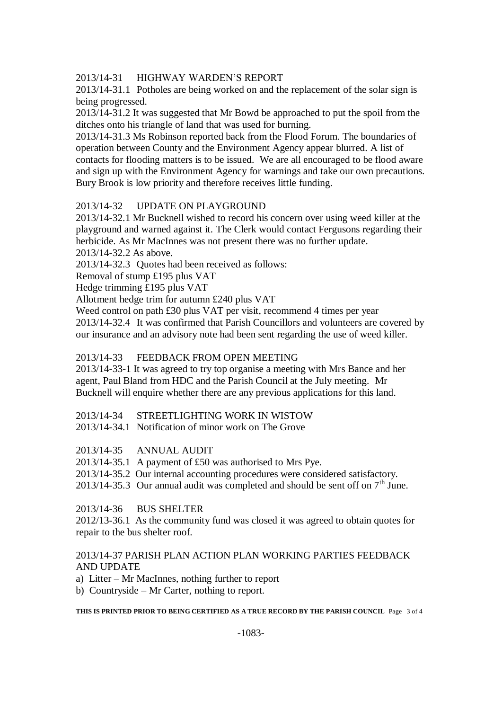## 2013/14-31 HIGHWAY WARDEN'S REPORT

2013/14-31.1 Potholes are being worked on and the replacement of the solar sign is being progressed.

2013/14-31.2 It was suggested that Mr Bowd be approached to put the spoil from the ditches onto his triangle of land that was used for burning.

2013/14-31.3 Ms Robinson reported back from the Flood Forum. The boundaries of operation between County and the Environment Agency appear blurred. A list of contacts for flooding matters is to be issued. We are all encouraged to be flood aware and sign up with the Environment Agency for warnings and take our own precautions. Bury Brook is low priority and therefore receives little funding.

### 2013/14-32 UPDATE ON PLAYGROUND

2013/14-32.1 Mr Bucknell wished to record his concern over using weed killer at the playground and warned against it. The Clerk would contact Fergusons regarding their herbicide. As Mr MacInnes was not present there was no further update. 2013/14-32.2 As above.

2013/14-32.3 Quotes had been received as follows:

Removal of stump £195 plus VAT

Hedge trimming £195 plus VAT

Allotment hedge trim for autumn £240 plus VAT

Weed control on path £30 plus VAT per visit, recommend 4 times per year 2013/14-32.4 It was confirmed that Parish Councillors and volunteers are covered by our insurance and an advisory note had been sent regarding the use of weed killer.

### 2013/14-33 FEEDBACK FROM OPEN MEETING

2013/14-33-1 It was agreed to try top organise a meeting with Mrs Bance and her agent, Paul Bland from HDC and the Parish Council at the July meeting. Mr Bucknell will enquire whether there are any previous applications for this land.

### 2013/14-34 STREETLIGHTING WORK IN WISTOW

2013/14-34.1 Notification of minor work on The Grove

### 2013/14-35 ANNUAL AUDIT

2013/14-35.1 A payment of £50 was authorised to Mrs Pye.

2013/14-35.2 Our internal accounting procedures were considered satisfactory.

2013/14-35.3 Our annual audit was completed and should be sent off on  $7<sup>th</sup>$  June.

### 2013/14-36 BUS SHELTER

2012/13-36.1 As the community fund was closed it was agreed to obtain quotes for repair to the bus shelter roof.

### 2013/14-37 PARISH PLAN ACTION PLAN WORKING PARTIES FEEDBACK AND UPDATE

- a) Litter Mr MacInnes, nothing further to report
- b) Countryside Mr Carter, nothing to report.

**THIS IS PRINTED PRIOR TO BEING CERTIFIED AS A TRUE RECORD BY THE PARISH COUNCIL** Page 3 of 4